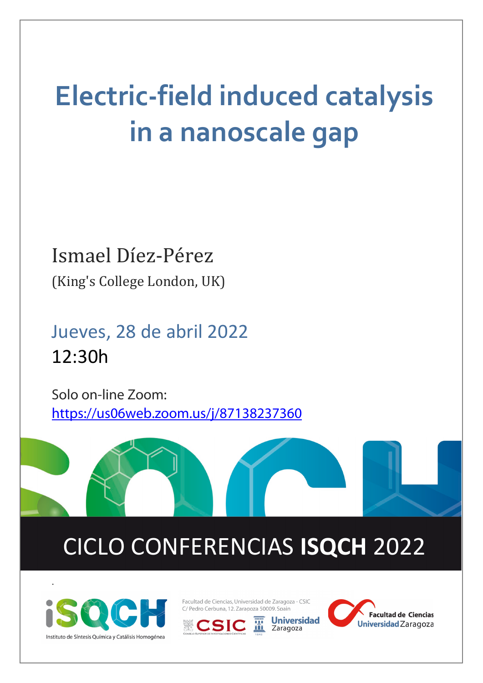## **Electric-field induced catalysis in a nanoscale gap**

### Ismael Díez-Pérez (King's College London, UK)

Jueves, 28 de abril 2022 12:30h

Solo on-line Zoom: <https://us06web.zoom.us/j/87138237360>

# CICLO CONFERENCIAS **ISQCH** 2022



.

Facultad de Ciencias, Universidad de Zaragoza - CSIC C/ Pedro Cerbuna, 12. Zaragoza 50009. Spain





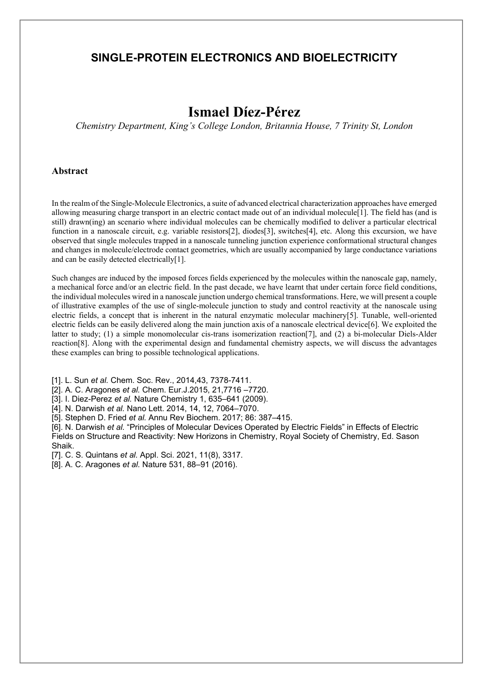#### **SINGLE-PROTEIN ELECTRONICS AND BIOELECTRICITY**

### **Ismael Díez-Pérez**

*Chemistry Department, King's College London, Britannia House, 7 Trinity St, London*

#### **Abstract**

In the realm of the Single-Molecule Electronics, a suite of advanced electrical characterization approaches have emerged allowing measuring charge transport in an electric contact made out of an individual molecule[1]. The field has (and is still) drawn(ing) an scenario where individual molecules can be chemically modified to deliver a particular electrical function in a nanoscale circuit, e.g. variable resistors[2], diodes[3], switches[4], etc. Along this excursion, we have observed that single molecules trapped in a nanoscale tunneling junction experience conformational structural changes and changes in molecule/electrode contact geometries, which are usually accompanied by large conductance variations and can be easily detected electrically[1].

Such changes are induced by the imposed forces fields experienced by the molecules within the nanoscale gap, namely, a mechanical force and/or an electric field. In the past decade, we have learnt that under certain force field conditions, the individual molecules wired in a nanoscale junction undergo chemical transformations. Here, we will present a couple of illustrative examples of the use of single-molecule junction to study and control reactivity at the nanoscale using electric fields, a concept that is inherent in the natural enzymatic molecular machinery[5]. Tunable, well-oriented electric fields can be easily delivered along the main junction axis of a nanoscale electrical device[6]. We exploited the latter to study; (1) a simple monomolecular cis-trans isomerization reaction[7], and (2) a bi-molecular Diels-Alder reaction[8]. Along with the experimental design and fundamental chemistry aspects, we will discuss the advantages these examples can bring to possible technological applications.

[1]. L. Sun *et al.* Chem. Soc. Rev., 2014,43, 7378-7411.

[2]. A. C. Aragones *et al.* Chem. Eur.J.2015, 21,7716 –7720.

[3]. I. Diez-Perez *et al.* Nature Chemistry 1, 635–641 (2009).

[4]. N. Darwish *et al.* Nano Lett. 2014, 14, 12, 7064–7070.

[5]. Stephen D. Fried *et al.* Annu Rev Biochem. 2017; 86: 387–415.

[6]. N. Darwish *et al.* "Principles of Molecular Devices Operated by Electric Fields" in Effects of Electric Fields on Structure and Reactivity: New Horizons in Chemistry, Royal Society of Chemistry, Ed. Sason Shaik.

[7]. C. S. Quintans *et al.* Appl. Sci. 2021, 11(8), 3317.

[8]. A. C. Aragones *et al.* Nature 531, 88–91 (2016).